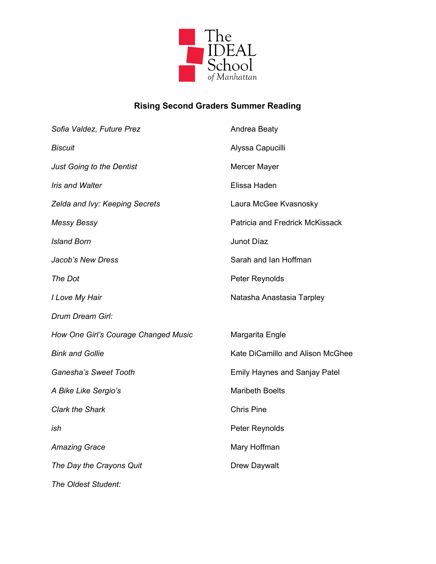

## **Rising Second Graders Summer Reading**

| Sofia Valdez, Future Prez            | Andrea Beaty                         |
|--------------------------------------|--------------------------------------|
| <b>Biscuit</b>                       | Alyssa Capucilli                     |
| <b>Just Going to the Dentist</b>     | Mercer Mayer                         |
| <b>Iris and Walter</b>               | Elissa Haden                         |
| Zelda and Ivy: Keeping Secrets       | Laura McGee Kvasnosky                |
| <b>Messy Bessy</b>                   | Patricia and Fredrick McKissack      |
| <b>Island Born</b>                   | Junot Díaz                           |
| Jacob's New Dress                    | Sarah and Ian Hoffman                |
| The Dot                              | Peter Reynolds                       |
| I Love My Hair                       | Natasha Anastasia Tarpley            |
| Drum Dream Girl:                     |                                      |
| How One Girl's Courage Changed Music | Margarita Engle                      |
| <b>Bink and Gollie</b>               | Kate DiCamillo and Alison McGhee     |
| Ganesha's Sweet Tooth                | <b>Emily Haynes and Sanjay Patel</b> |
| A Bike Like Sergio's                 | <b>Maribeth Boelts</b>               |
| <b>Clark the Shark</b>               | <b>Chris Pine</b>                    |
| ish                                  | Peter Reynolds                       |
| <b>Amazing Grace</b>                 | Mary Hoffman                         |
| The Day the Crayons Quit             | Drew Daywalt                         |
| The Oldest Student:                  |                                      |